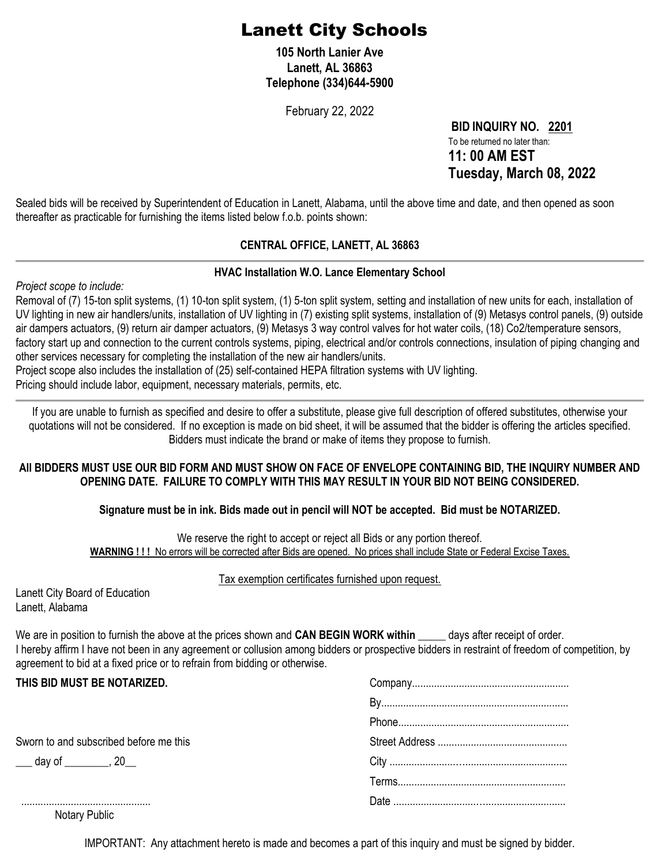# Lanett City Schools

**105 North Lanier Ave Lanett, AL 36863 Telephone (334)644-5900**

February 22, 2022

**BID INQUIRY NO. 2201** To be returned no later than: **11: 00 AM EST Tuesday, March 08, 2022**

Sealed bids will be received by Superintendent of Education in Lanett, Alabama, until the above time and date, and then opened as soon thereafter as practicable for furnishing the items listed below f.o.b. points shown:

#### **CENTRAL OFFICE, LANETT, AL 36863**

#### **HVAC Installation W.O. Lance Elementary School**

*Project scope to include:*

Removal of (7) 15-ton split systems, (1) 10-ton split system, (1) 5-ton split system, setting and installation of new units for each, installation of UV lighting in new air handlers/units, installation of UV lighting in (7) existing split systems, installation of (9) Metasys control panels, (9) outside air dampers actuators, (9) return air damper actuators, (9) Metasys 3 way control valves for hot water coils, (18) Co2/temperature sensors, factory start up and connection to the current controls systems, piping, electrical and/or controls connections, insulation of piping changing and other services necessary for completing the installation of the new air handlers/units.

Project scope also includes the installation of (25) self-contained HEPA filtration systems with UV lighting.

Pricing should include labor, equipment, necessary materials, permits, etc.

If you are unable to furnish as specified and desire to offer a substitute, please give full description of offered substitutes, otherwise your quotations will not be considered. If no exception is made on bid sheet, it will be assumed that the bidder is offering the articles specified. Bidders must indicate the brand or make of items they propose to furnish.

#### **All BIDDERS MUST USE OUR BID FORM AND MUST SHOW ON FACE OF ENVELOPE CONTAINING BID, THE INQUIRY NUMBER AND OPENING DATE. FAILURE TO COMPLY WITH THIS MAY RESULT IN YOUR BID NOT BEING CONSIDERED.**

#### **Signature must be in ink. Bids made out in pencil will NOT be accepted. Bid must be NOTARIZED.**

We reserve the right to accept or reject all Bids or any portion thereof. **WARNING ! ! !** No errors will be corrected after Bids are opened. No prices shall include State or Federal Excise Taxes.

#### Tax exemption certificates furnished upon request.

| Lanett City Board of Education |
|--------------------------------|
| Lanett, Alabama                |

We are in position to furnish the above at the prices shown and **CAN BEGIN WORK within** \_\_\_\_\_ days after receipt of order. I hereby affirm I have not been in any agreement or collusion among bidders or prospective bidders in restraint of freedom of competition, by agreement to bid at a fixed price or to refrain from bidding or otherwise.

| THIS BID MUST BE NOTARIZED.            |  |  |
|----------------------------------------|--|--|
|                                        |  |  |
|                                        |  |  |
| Sworn to and subscribed before me this |  |  |
| ___ day of ________, 20                |  |  |
|                                        |  |  |
|                                        |  |  |

Notary Public

IMPORTANT: Any attachment hereto is made and becomes a part of this inquiry and must be signed by bidder.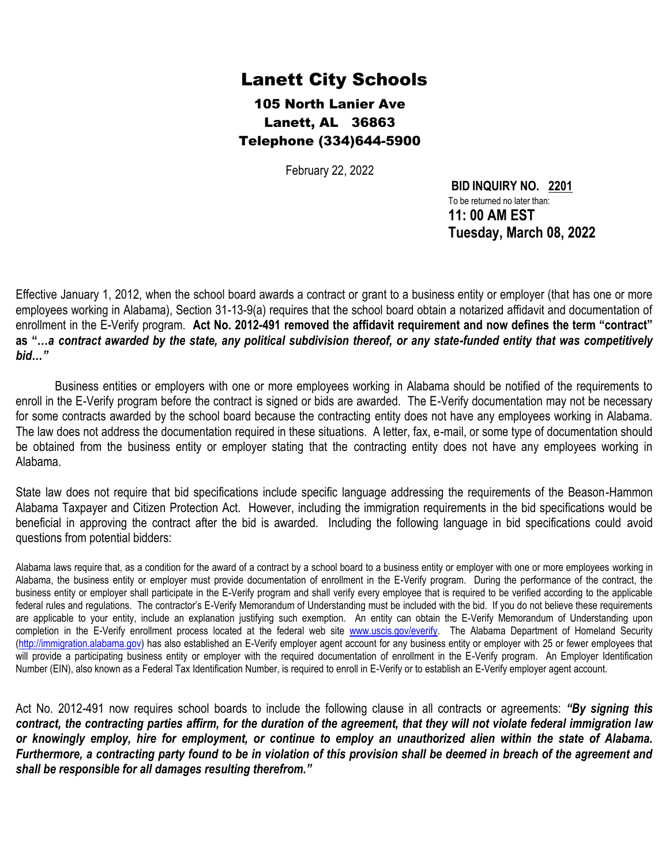## Lanett City Schools

105 North Lanier Ave Lanett, AL 36863 Telephone (334)644-5900

February 22, 2022

**BID INQUIRY NO. 2201** To be returned no later than: **11: 00 AM EST Tuesday, March 08, 2022**

Effective January 1, 2012, when the school board awards a contract or grant to a business entity or employer (that has one or more employees working in Alabama), Section 31-13-9(a) requires that the school board obtain a notarized affidavit and documentation of enrollment in the E-Verify program. **Act No. 2012-491 removed the affidavit requirement and now defines the term "contract" as "…***a contract awarded by the state, any political subdivision thereof, or any state-funded entity that was competitively bid…"*

Business entities or employers with one or more employees working in Alabama should be notified of the requirements to enroll in the E-Verify program before the contract is signed or bids are awarded. The E-Verify documentation may not be necessary for some contracts awarded by the school board because the contracting entity does not have any employees working in Alabama. The law does not address the documentation required in these situations. A letter, fax, e-mail, or some type of documentation should be obtained from the business entity or employer stating that the contracting entity does not have any employees working in Alabama.

State law does not require that bid specifications include specific language addressing the requirements of the Beason-Hammon Alabama Taxpayer and Citizen Protection Act. However, including the immigration requirements in the bid specifications would be beneficial in approving the contract after the bid is awarded. Including the following language in bid specifications could avoid questions from potential bidders:

Alabama laws require that, as a condition for the award of a contract by a school board to a business entity or employer with one or more employees working in Alabama, the business entity or employer must provide documentation of enrollment in the E-Verify program. During the performance of the contract, the business entity or employer shall participate in the E-Verify program and shall verify every employee that is required to be verified according to the applicable federal rules and regulations. The contractor's E-Verify Memorandum of Understanding must be included with the bid. If you do not believe these requirements are applicable to your entity, include an explanation justifying such exemption. An entity can obtain the E-Verify Memorandum of Understanding upon completion in the E-Verify enrollment process located at the federal web site [www.uscis.gov/everify.](http://www.uscis.gov/everify) The Alabama Department of Homeland Security [\(http://immigration.alabama.gov\)](http://immigration.alabama.gov/) has also established an E-Verify employer agent account for any business entity or employer with 25 or fewer employees that will provide a participating business entity or employer with the required documentation of enrollment in the E-Verify program. An Employer Identification Number (EIN), also known as a Federal Tax Identification Number, is required to enroll in E-Verify or to establish an E-Verify employer agent account.

Act No. 2012-491 now requires school boards to include the following clause in all contracts or agreements: *"By signing this contract, the contracting parties affirm, for the duration of the agreement, that they will not violate federal immigration law or knowingly employ, hire for employment, or continue to employ an unauthorized alien within the state of Alabama. Furthermore, a contracting party found to be in violation of this provision shall be deemed in breach of the agreement and shall be responsible for all damages resulting therefrom."*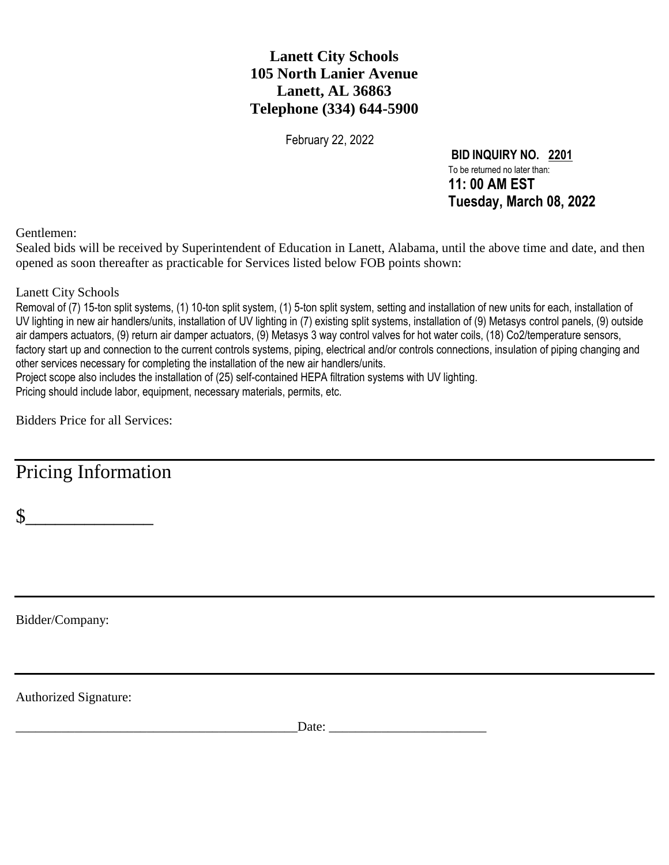### **Lanett City Schools 105 North Lanier Avenue Lanett, AL 36863 Telephone (334) 644-5900**

February 22, 2022

**BID INQUIRY NO. 2201** To be returned no later than: **11: 00 AM EST Tuesday, March 08, 2022**

Gentlemen:

Sealed bids will be received by Superintendent of Education in Lanett, Alabama, until the above time and date, and then opened as soon thereafter as practicable for Services listed below FOB points shown:

Lanett City Schools

Removal of (7) 15-ton split systems, (1) 10-ton split system, (1) 5-ton split system, setting and installation of new units for each, installation of UV lighting in new air handlers/units, installation of UV lighting in (7) existing split systems, installation of (9) Metasys control panels, (9) outside air dampers actuators, (9) return air damper actuators, (9) Metasys 3 way control valves for hot water coils, (18) Co2/temperature sensors, factory start up and connection to the current controls systems, piping, electrical and/or controls connections, insulation of piping changing and other services necessary for completing the installation of the new air handlers/units.

Project scope also includes the installation of (25) self-contained HEPA filtration systems with UV lighting. Pricing should include labor, equipment, necessary materials, permits, etc.

Bidders Price for all Services:

Pricing Information

 $\sim$ 

Bidder/Company:

Authorized Signature:

\_\_\_\_\_\_\_\_\_\_\_\_\_\_\_\_\_\_\_\_\_\_\_\_\_\_\_\_\_\_\_\_\_\_\_\_\_\_\_\_\_\_\_Date: \_\_\_\_\_\_\_\_\_\_\_\_\_\_\_\_\_\_\_\_\_\_\_\_